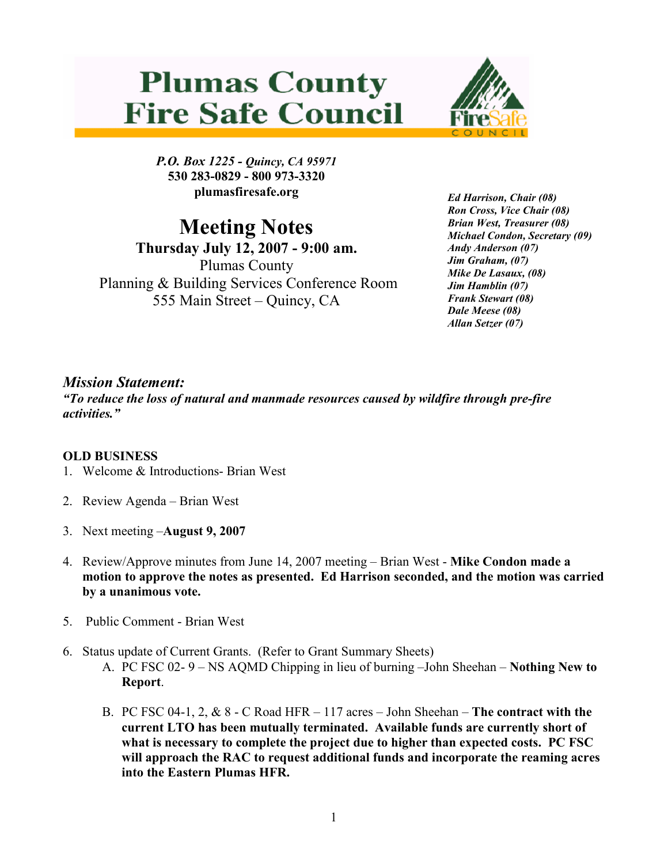## **Plumas County Fire Safe Council**



P.O. Box 1225 - Quincy, CA 95971 530 283-0829 - 800 973-3320 plumasfiresafe.org

Meeting Notes

Thursday July 12, 2007 - 9:00 am. Plumas County Planning & Building Services Conference Room 555 Main Street – Quincy, CA

Ed Harrison, Chair (08) Ron Cross, Vice Chair (08) Brian West, Treasurer (08) Michael Condon, Secretary (09) Andy Anderson (07) Jim Graham, (07) Mike De Lasaux, (08) Jim Hamblin (07) Frank Stewart (08) Dale Meese (08) Allan Setzer (07)

## Mission Statement:

"To reduce the loss of natural and manmade resources caused by wildfire through pre-fire activities."

## OLD BUSINESS

- 1. Welcome & Introductions- Brian West
- 2. Review Agenda Brian West
- 3. Next meeting –August 9, 2007
- 4. Review/Approve minutes from June 14, 2007 meeting Brian West Mike Condon made a motion to approve the notes as presented. Ed Harrison seconded, and the motion was carried by a unanimous vote.
- 5. Public Comment Brian West
- 6. Status update of Current Grants. (Refer to Grant Summary Sheets)
	- A. PC FSC 02- 9 NS AQMD Chipping in lieu of burning –John Sheehan Nothing New to Report.
	- B. PC FSC 04-1, 2,  $& 8$  C Road HFR 117 acres John Sheehan The contract with the current LTO has been mutually terminated. Available funds are currently short of what is necessary to complete the project due to higher than expected costs. PC FSC will approach the RAC to request additional funds and incorporate the reaming acres into the Eastern Plumas HFR.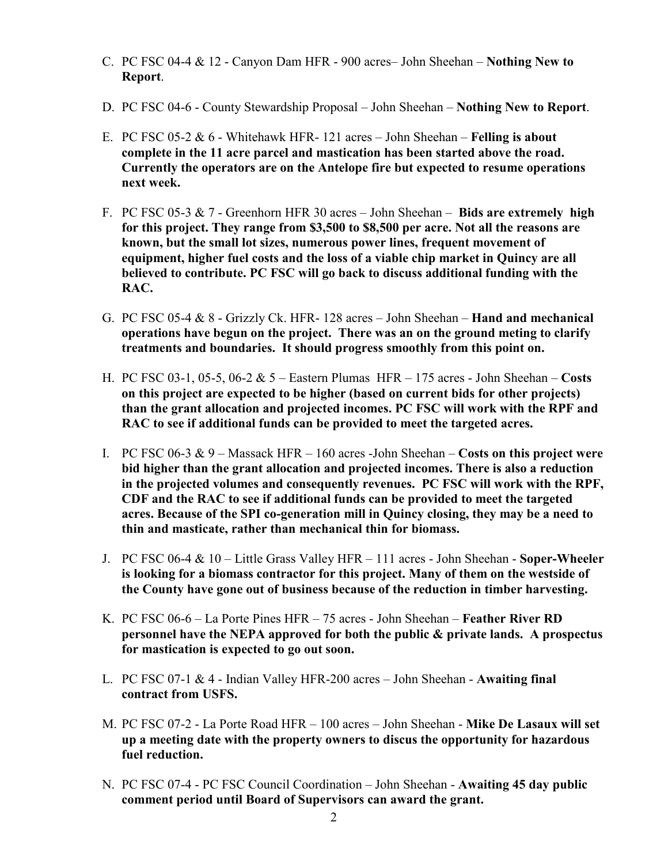- C. PC FSC 04-4  $\&$  12 Canyon Dam HFR 900 acres– John Sheehan **Nothing New to** Report.
- D. PC FSC 04-6 County Stewardship Proposal John Sheehan Nothing New to Report.
- E. PC FSC 05-2  $& 6$  Whitehawk HFR- 121 acres John Sheehan Felling is about complete in the 11 acre parcel and mastication has been started above the road. Currently the operators are on the Antelope fire but expected to resume operations next week.
- F. PC FSC 05-3  $& 7$  Greenhorn HFR 30 acres John Sheehan Bids are extremely high for this project. They range from \$3,500 to \$8,500 per acre. Not all the reasons are known, but the small lot sizes, numerous power lines, frequent movement of equipment, higher fuel costs and the loss of a viable chip market in Quincy are all believed to contribute. PC FSC will go back to discuss additional funding with the RAC.
- G. PC FSC 05-4 & 8 Grizzly Ck. HFR- 128 acres John Sheehan Hand and mechanical operations have begun on the project. There was an on the ground meting to clarify treatments and boundaries. It should progress smoothly from this point on.
- H. PC FSC 03-1, 05-5, 06-2  $& 5$  Eastern Plumas HFR 175 acres John Sheehan Costs on this project are expected to be higher (based on current bids for other projects) than the grant allocation and projected incomes. PC FSC will work with the RPF and RAC to see if additional funds can be provided to meet the targeted acres.
- I. PC FSC 06-3  $\& 9$  Massack HFR 160 acres -John Sheehan Costs on this project were bid higher than the grant allocation and projected incomes. There is also a reduction in the projected volumes and consequently revenues. PC FSC will work with the RPF, CDF and the RAC to see if additional funds can be provided to meet the targeted acres. Because of the SPI co-generation mill in Quincy closing, they may be a need to thin and masticate, rather than mechanical thin for biomass.
- J. PC FSC 06-4 & 10 Little Grass Valley HFR 111 acres John Sheehan Soper-Wheeler is looking for a biomass contractor for this project. Many of them on the westside of the County have gone out of business because of the reduction in timber harvesting.
- K. PC FSC 06-6 La Porte Pines HFR 75 acres John Sheehan Feather River RD personnel have the NEPA approved for both the public & private lands. A prospectus for mastication is expected to go out soon.
- L. PC FSC 07-1  $& 4$  Indian Valley HFR-200 acres John Sheehan Awaiting final contract from USFS.
- M. PC FSC 07-2 La Porte Road HFR 100 acres John Sheehan Mike De Lasaux will set up a meeting date with the property owners to discus the opportunity for hazardous fuel reduction.
- N. PC FSC 07-4 PC FSC Council Coordination John Sheehan Awaiting 45 day public comment period until Board of Supervisors can award the grant.